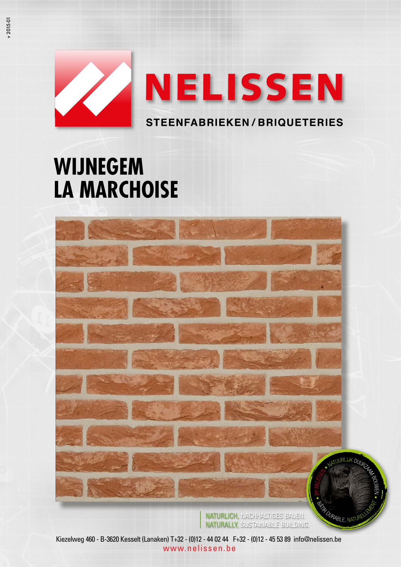

# **WIJNEGEM LA MARCHOISE**



NATURLICH, NACHHALTIGES BAUEN. NATURALLY, SUSTAINABLE BUILDING.

Kiezelweg 460 - B-3620 Kesselt (Lanaken) T+32 - (0)12 - 44 02 44 F+32 - (0)12 - 45 53 89 info@nelissen.be www.nelissen.be